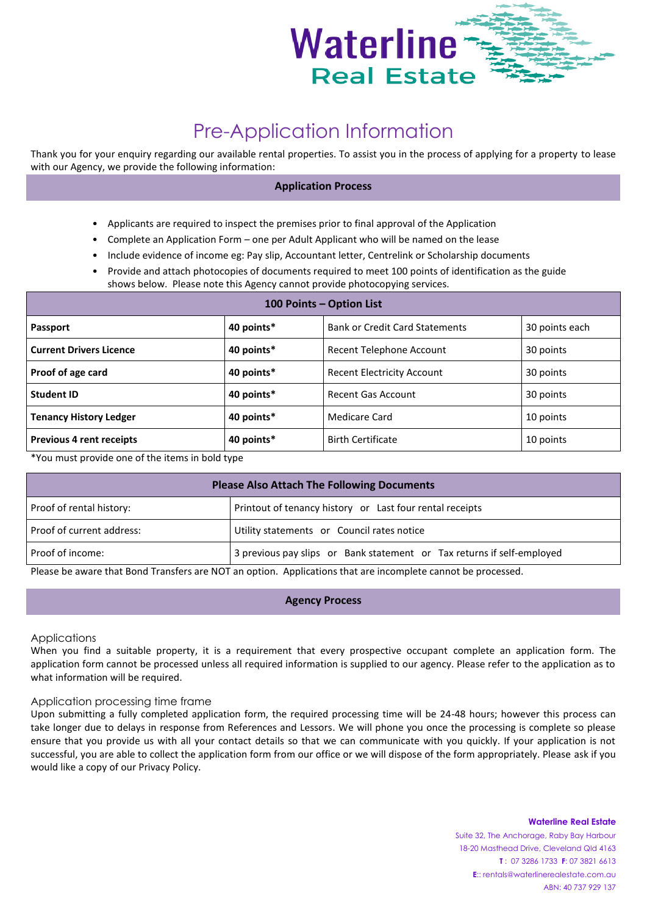

# Pre-Application Information

Thank you for your enquiry regarding our available rental properties. To assist you in the process of applying for a property to lease with our Agency, we provide the following information:

## **Application Process**

- Applicants are required to inspect the premises prior to final approval of the Application
- Complete an Application Form one per Adult Applicant who will be named on the lease
- Include evidence of income eg: Pay slip, Accountant letter, Centrelink or Scholarship documents
- Provide and attach photocopies of documents required to meet 100 points of identification as the guide shows below. Please note this Agency cannot provide photocopying services.

| 100 Points - Option List        |            |                                       |                |  |  |
|---------------------------------|------------|---------------------------------------|----------------|--|--|
| <b>Passport</b>                 | 40 points* | <b>Bank or Credit Card Statements</b> | 30 points each |  |  |
| <b>Current Drivers Licence</b>  | 40 points* | Recent Telephone Account              | 30 points      |  |  |
| Proof of age card               | 40 points* | <b>Recent Electricity Account</b>     | 30 points      |  |  |
| <b>Student ID</b>               | 40 points* | Recent Gas Account                    | 30 points      |  |  |
| <b>Tenancy History Ledger</b>   | 40 points* | Medicare Card                         | 10 points      |  |  |
| <b>Previous 4 rent receipts</b> | 40 points* | <b>Birth Certificate</b>              | 10 points      |  |  |

\*You must provide one of the items in bold type

| <b>Please Also Attach The Following Documents</b> |                                                                        |  |  |
|---------------------------------------------------|------------------------------------------------------------------------|--|--|
| Proof of rental history:                          | Printout of tenancy history or Last four rental receipts               |  |  |
| Proof of current address:                         | Utility statements or Council rates notice                             |  |  |
| Proof of income:                                  | 3 previous pay slips or Bank statement or Tax returns if self-employed |  |  |

Please be aware that Bond Transfers are NOT an option. Applications that are incomplete cannot be processed.

#### **Agency Process**

Applications

When you find a suitable property, it is a requirement that every prospective occupant complete an application form. The application form cannot be processed unless all required information is supplied to our agency. Please refer to the application as to what information will be required.

#### Application processing time frame

Upon submitting a fully completed application form, the required processing time will be 24-48 hours; however this process can take longer due to delays in response from References and Lessors. We will phone you once the processing is complete so please ensure that you provide us with all your contact details so that we can communicate with you quickly. If your application is not successful, you are able to collect the application form from our office or we will dispose of the form appropriately. Please ask if you would like a copy of our Privacy Policy.

#### **Waterline Real Estate**

Suite 32, The Anchorage, Raby Bay Harbour 18-20 Masthead Drive, Cleveland Qld 4163 **T** : 07 3286 1733 **F**: 07 3821 6613 **E**:: rentals@waterlinerealestate.com.au ABN: 40 737 929 137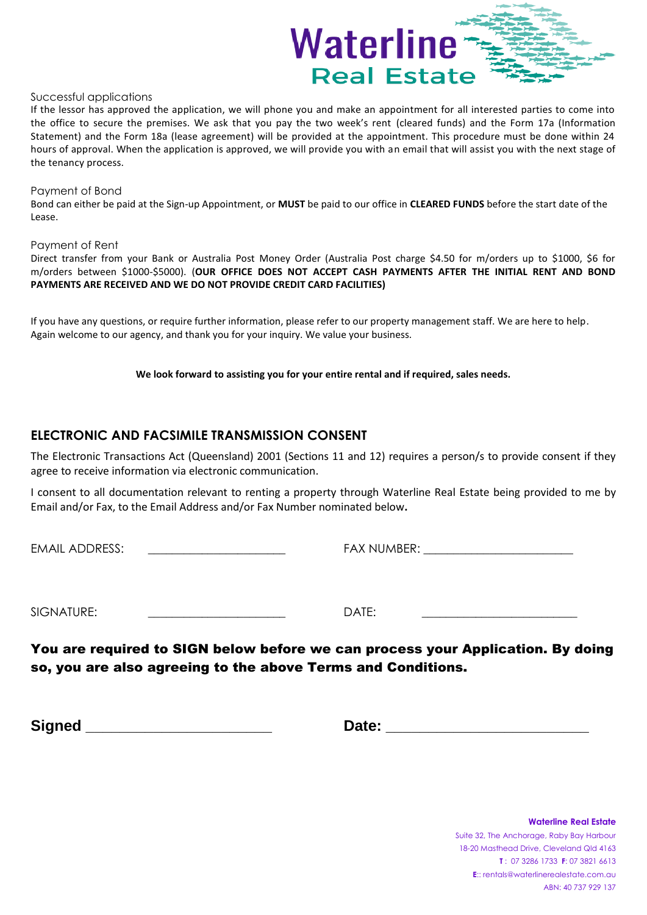

### Successful applications

If the lessor has approved the application, we will phone you and make an appointment for all interested parties to come into the office to secure the premises. We ask that you pay the two week's rent (cleared funds) and the Form 17a (Information Statement) and the Form 18a (lease agreement) will be provided at the appointment. This procedure must be done within 24 hours of approval. When the application is approved, we will provide you with an email that will assist you with the next stage of the tenancy process.

#### Payment of Bond

Bond can either be paid at the Sign-up Appointment, or **MUST** be paid to our office in **CLEARED FUNDS** before the start date of the Lease.

#### Payment of Rent

Direct transfer from your Bank or Australia Post Money Order (Australia Post charge \$4.50 for m/orders up to \$1000, \$6 for m/orders between \$1000-\$5000). (**OUR OFFICE DOES NOT ACCEPT CASH PAYMENTS AFTER THE INITIAL RENT AND BOND PAYMENTS ARE RECEIVED AND WE DO NOT PROVIDE CREDIT CARD FACILITIES)**

If you have any questions, or require further information, please refer to our property management staff. We are here to help. Again welcome to our agency, and thank you for your inquiry. We value your business.

**We look forward to assisting you for your entire rental and if required, sales needs.**

## **ELECTRONIC AND FACSIMILE TRANSMISSION CONSENT**

The Electronic Transactions Act (Queensland) 2001 (Sections 11 and 12) requires a person/s to provide consent if they agree to receive information via electronic communication.

I consent to all documentation relevant to renting a property through Waterline Real Estate being provided to me by Email and/or Fax, to the Email Address and/or Fax Number nominated below**.**

EMAIL ADDRESS: The contract of the contract of the FAX NUMBER:  $\overline{P}$  FAX NUMBER:

SIGNATURE: \_\_\_\_\_\_\_\_\_\_\_\_\_\_\_\_\_\_\_\_\_\_\_ DATE: \_\_\_\_\_\_\_\_\_\_\_\_\_\_\_\_\_\_\_\_\_\_\_\_\_\_

You are required to SIGN below before we can process your Application. By doing so, you are also agreeing to the above Terms and Conditions.

**Signed \_\_\_\_\_\_\_\_\_\_\_\_\_\_\_\_\_\_\_\_\_\_ Date: \_\_\_\_\_\_\_\_\_\_\_\_\_\_\_\_\_\_\_\_\_\_\_\_**

**Waterline Real Estate** Suite 32, The Anchorage, Raby Bay Harbour 18-20 Masthead Drive, Cleveland Qld 4163 **T** : 07 3286 1733 **F**: 07 3821 6613 **E**:: rentals@waterlinerealestate.com.au ABN: 40 737 929 137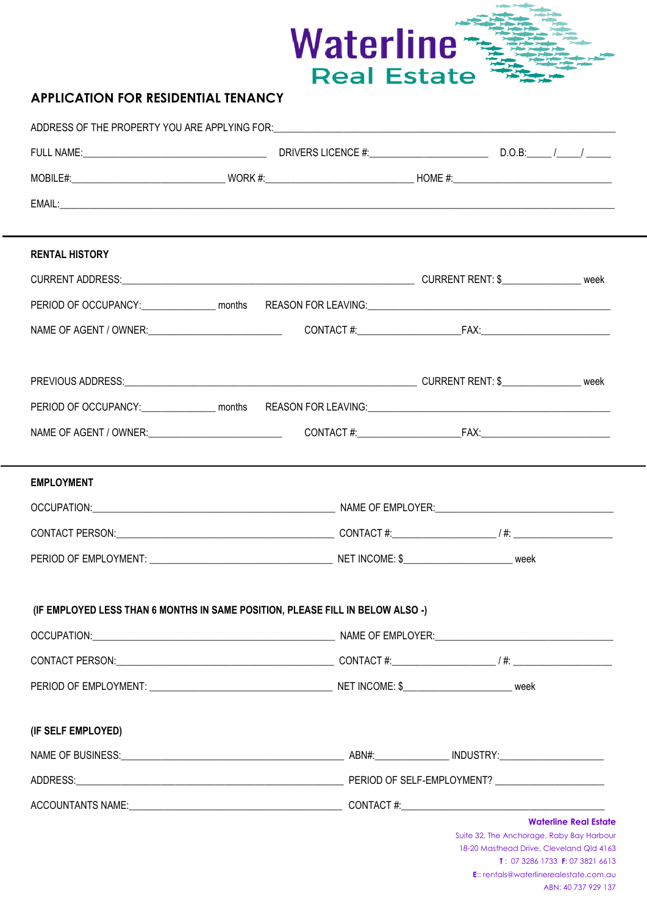

## **APPLICATION FOR RESIDENTIAL TENANCY**

| <b>RENTAL HISTORY</b>                                                          |  |  |  |                                                                                                                                                                                           |  |
|--------------------------------------------------------------------------------|--|--|--|-------------------------------------------------------------------------------------------------------------------------------------------------------------------------------------------|--|
|                                                                                |  |  |  |                                                                                                                                                                                           |  |
|                                                                                |  |  |  |                                                                                                                                                                                           |  |
|                                                                                |  |  |  |                                                                                                                                                                                           |  |
|                                                                                |  |  |  |                                                                                                                                                                                           |  |
|                                                                                |  |  |  |                                                                                                                                                                                           |  |
|                                                                                |  |  |  |                                                                                                                                                                                           |  |
|                                                                                |  |  |  |                                                                                                                                                                                           |  |
|                                                                                |  |  |  |                                                                                                                                                                                           |  |
| <b>EMPLOYMENT</b>                                                              |  |  |  |                                                                                                                                                                                           |  |
|                                                                                |  |  |  |                                                                                                                                                                                           |  |
|                                                                                |  |  |  |                                                                                                                                                                                           |  |
|                                                                                |  |  |  |                                                                                                                                                                                           |  |
|                                                                                |  |  |  |                                                                                                                                                                                           |  |
| (IF EMPLOYED LESS THAN 6 MONTHS IN SAME POSITION, PLEASE FILL IN BELOW ALSO -) |  |  |  |                                                                                                                                                                                           |  |
|                                                                                |  |  |  |                                                                                                                                                                                           |  |
|                                                                                |  |  |  |                                                                                                                                                                                           |  |
|                                                                                |  |  |  |                                                                                                                                                                                           |  |
|                                                                                |  |  |  |                                                                                                                                                                                           |  |
| (IF SELF EMPLOYED)                                                             |  |  |  |                                                                                                                                                                                           |  |
|                                                                                |  |  |  |                                                                                                                                                                                           |  |
|                                                                                |  |  |  |                                                                                                                                                                                           |  |
|                                                                                |  |  |  | <b>Waterline Real Estate</b>                                                                                                                                                              |  |
|                                                                                |  |  |  | Suite 32, The Anchorage, Raby Bay Harbour<br>18-20 Masthead Drive, Cleveland Qld 4163<br><b>T</b> : 07 3286 1733 <b>F</b> : 07 3821 6613<br><b>E::</b> rentals@waterlinerealestate.com.au |  |
|                                                                                |  |  |  | ABN: 40 737 929 137                                                                                                                                                                       |  |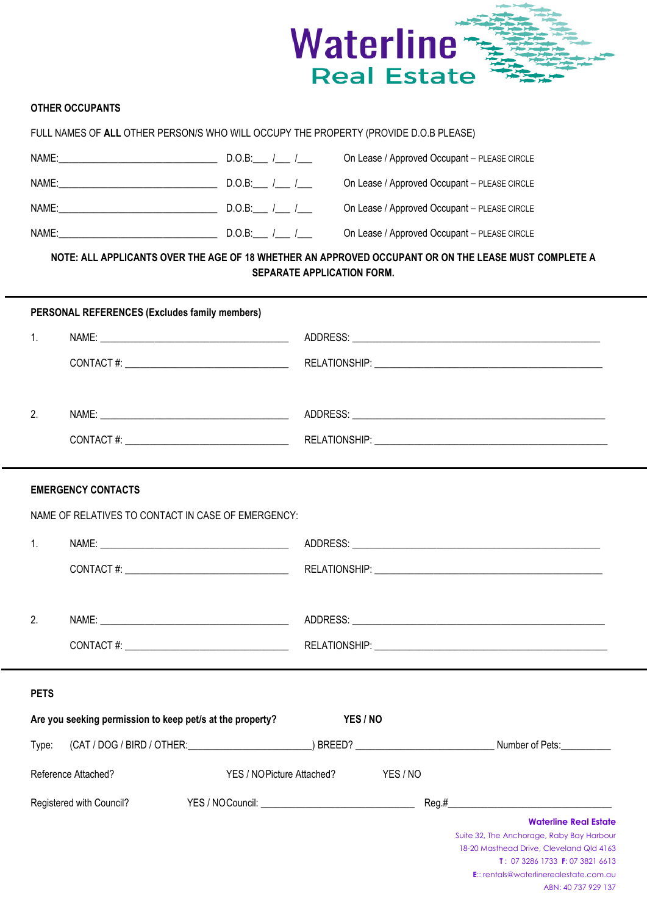

## **OTHER OCCUPANTS**

| FULL NAMES OF ALL OTHER PERSON/S WHO WILL OCCUPY THE PROPERTY (PROVIDE D.O.B PLEASE)                                                                                                                                           |              |                                              |  |
|--------------------------------------------------------------------------------------------------------------------------------------------------------------------------------------------------------------------------------|--------------|----------------------------------------------|--|
| NAME: The contract of the contract of the contract of the contract of the contract of the contract of the contract of the contract of the contract of the contract of the contract of the contract of the contract of the cont | D.O.B: $1/$  | On Lease / Approved Occupant - PLEASE CIRCLE |  |
| NAME: The contract of the contract of the contract of the contract of the contract of the contract of the contract of the contract of the contract of the contract of the contract of the contract of the contract of the cont | $D.O.B:$ / / | On Lease / Approved Occupant - PLEASE CIRCLE |  |
| NAME: A CONTROLLER STATE OF THE STATE OF THE STATE OF THE STATE OF THE STATE OF THE STATE OF THE STATE OF THE STATE OF THE STATE OF THE STATE OF THE STATE OF THE STATE OF THE STATE OF THE STATE OF THE STATE OF THE STATE OF | D.O.B: $1/$  | On Lease / Approved Occupant - PLEASE CIRCLE |  |
| NAME:                                                                                                                                                                                                                          | $D.O.B:$ / / | On Lease / Approved Occupant - PLEASE CIRCLE |  |

## **NOTE: ALL APPLICANTS OVER THE AGE OF 18 WHETHER AN APPROVED OCCUPANT OR ON THE LEASE MUST COMPLETE A SEPARATE APPLICATION FORM.**

|             | <b>PERSONAL REFERENCES (Excludes family members)</b>      |                  |                           |        |       |                                                                                                                                                                                                                                  |
|-------------|-----------------------------------------------------------|------------------|---------------------------|--------|-------|----------------------------------------------------------------------------------------------------------------------------------------------------------------------------------------------------------------------------------|
| 1.          |                                                           |                  |                           |        |       |                                                                                                                                                                                                                                  |
|             |                                                           |                  |                           |        |       |                                                                                                                                                                                                                                  |
| 2.          |                                                           |                  |                           |        |       |                                                                                                                                                                                                                                  |
|             |                                                           |                  |                           |        |       |                                                                                                                                                                                                                                  |
|             | <b>EMERGENCY CONTACTS</b>                                 |                  |                           |        |       |                                                                                                                                                                                                                                  |
|             | NAME OF RELATIVES TO CONTACT IN CASE OF EMERGENCY:        |                  |                           |        |       |                                                                                                                                                                                                                                  |
| 1.          |                                                           |                  |                           |        |       |                                                                                                                                                                                                                                  |
|             |                                                           |                  |                           |        |       |                                                                                                                                                                                                                                  |
| 2.          |                                                           |                  |                           |        |       |                                                                                                                                                                                                                                  |
|             |                                                           |                  |                           |        |       |                                                                                                                                                                                                                                  |
| <b>PETS</b> |                                                           |                  |                           |        |       |                                                                                                                                                                                                                                  |
|             | Are you seeking permission to keep pet/s at the property? |                  | YES / NO                  |        |       |                                                                                                                                                                                                                                  |
| Type:       |                                                           |                  |                           |        |       |                                                                                                                                                                                                                                  |
|             | Reference Attached?                                       |                  | YES / NOPicture Attached? | YES/NO |       |                                                                                                                                                                                                                                  |
|             | Registered with Council?                                  | YES / NOCouncil: |                           |        | Reg.# |                                                                                                                                                                                                                                  |
|             |                                                           |                  |                           |        |       | <b>Waterline Real Estate</b><br>Suite 32, The Anchorage, Raby Bay Harbour<br>18-20 Masthead Drive, Cleveland Qld 4163<br>T: 07 3286 1733 F: 07 3821 6613<br><b>E::</b> rentals@waterlinerealestate.com.au<br>ABN: 40 737 929 137 |